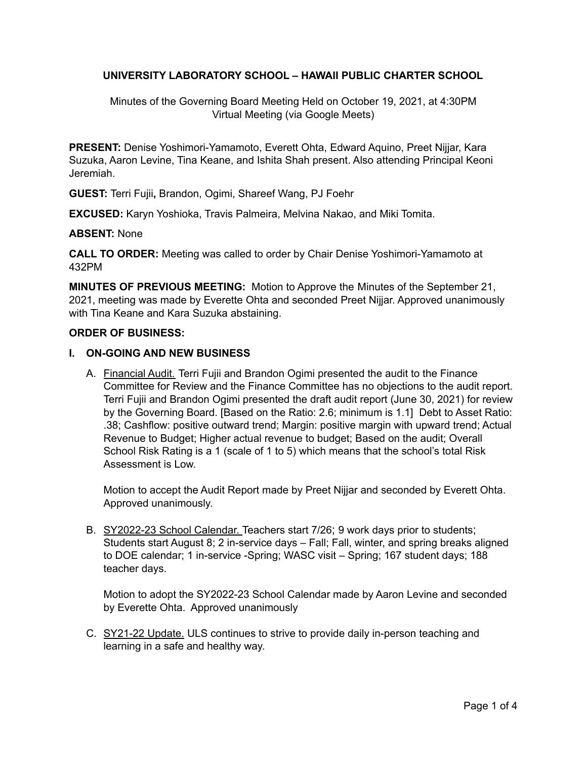## **UNIVERSITY LABORATORY SCHOOL – HAWAII PUBLIC CHARTER SCHOOL**

Minutes of the Governing Board Meeting Held on October 19, 2021, at 4:30PM Virtual Meeting (via Google Meets)

**PRESENT:** Denise Yoshimori-Yamamoto, Everett Ohta, Edward Aquino, Preet Nijjar, Kara Suzuka, Aaron Levine, Tina Keane, and Ishita Shah present. Also attending Principal Keoni Jeremiah.

**GUEST:** Terri Fujii**,** Brandon, Ogimi, Shareef Wang, PJ Foehr

**EXCUSED:** Karyn Yoshioka, Travis Palmeira, Melvina Nakao, and Miki Tomita.

#### **ABSENT:** None

**CALL TO ORDER:** Meeting was called to order by Chair Denise Yoshimori-Yamamoto at 432PM

**MINUTES OF PREVIOUS MEETING:** Motion to Approve the Minutes of the September 21, 2021, meeting was made by Everette Ohta and seconded Preet Nijjar. Approved unanimously with Tina Keane and Kara Suzuka abstaining.

#### **ORDER OF BUSINESS:**

#### **I. ON-GOING AND NEW BUSINESS**

A. Financial Audit. Terri Fujii and Brandon Ogimi presented the audit to the Finance Committee for Review and the Finance Committee has no objections to the audit report. Terri Fujii and Brandon Ogimi presented the draft audit report (June 30, 2021) for review by the Governing Board. [Based on the Ratio: 2.6; minimum is 1.1] Debt to Asset Ratio: .38; Cashflow: positive outward trend; Margin: positive margin with upward trend; Actual Revenue to Budget; Higher actual revenue to budget; Based on the audit; Overall School Risk Rating is a 1 (scale of 1 to 5) which means that the school's total Risk Assessment is Low.

Motion to accept the Audit Report made by Preet Nijjar and seconded by Everett Ohta. Approved unanimously.

B. SY2022-23 School Calendar. Teachers start 7/26; 9 work days prior to students; Students start August 8; 2 in-service days – Fall; Fall, winter, and spring breaks aligned to DOE calendar; 1 in-service -Spring; WASC visit – Spring; 167 student days; 188 teacher days.

Motion to adopt the SY2022-23 School Calendar made by Aaron Levine and seconded by Everette Ohta. Approved unanimously

C. SY21-22 Update. ULS continues to strive to provide daily in-person teaching and learning in a safe and healthy way.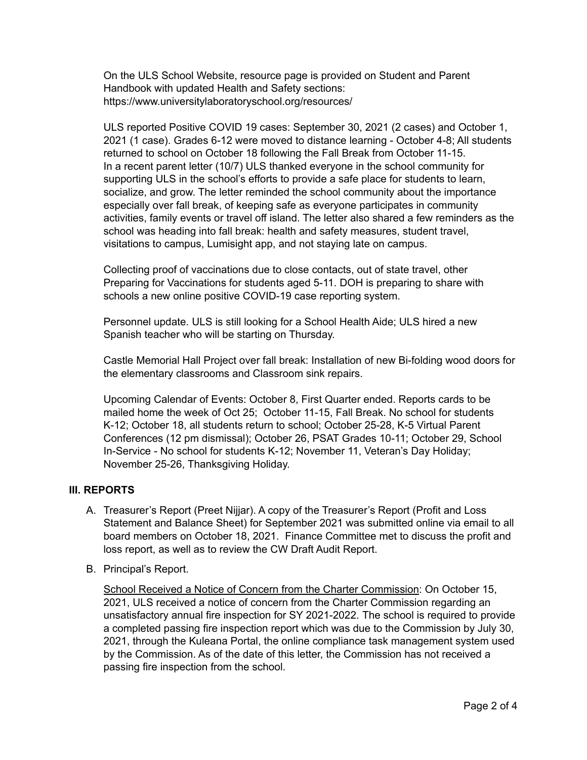On the ULS School Website, resource page is provided on Student and Parent Handbook with updated Health and Safety sections: https://www.universitylaboratoryschool.org/resources/

ULS reported Positive COVID 19 cases: September 30, 2021 (2 cases) and October 1, 2021 (1 case). Grades 6-12 were moved to distance learning - October 4-8; All students returned to school on October 18 following the Fall Break from October 11-15. In a recent parent letter (10/7) ULS thanked everyone in the school community for supporting ULS in the school's efforts to provide a safe place for students to learn, socialize, and grow. The letter reminded the school community about the importance especially over fall break, of keeping safe as everyone participates in community activities, family events or travel off island. The letter also shared a few reminders as the school was heading into fall break: health and safety measures, student travel, visitations to campus, Lumisight app, and not staying late on campus.

Collecting proof of vaccinations due to close contacts, out of state travel, other Preparing for Vaccinations for students aged 5-11. DOH is preparing to share with schools a new online positive COVID-19 case reporting system.

Personnel update. ULS is still looking for a School Health Aide; ULS hired a new Spanish teacher who will be starting on Thursday.

Castle Memorial Hall Project over fall break: Installation of new Bi-folding wood doors for the elementary classrooms and Classroom sink repairs.

Upcoming Calendar of Events: October 8, First Quarter ended. Reports cards to be mailed home the week of Oct 25; October 11-15, Fall Break. No school for students K-12; October 18, all students return to school; October 25-28, K-5 Virtual Parent Conferences (12 pm dismissal); October 26, PSAT Grades 10-11; October 29, School In-Service - No school for students K-12; November 11, Veteran's Day Holiday; November 25-26, Thanksgiving Holiday.

### **III. REPORTS**

- A. Treasurer's Report (Preet Nijjar). A copy of the Treasurer's Report (Profit and Loss Statement and Balance Sheet) for September 2021 was submitted online via email to all board members on October 18, 2021. Finance Committee met to discuss the profit and loss report, as well as to review the CW Draft Audit Report.
- B. Principal's Report.

School Received a Notice of Concern from the Charter Commission: On October 15, 2021, ULS received a notice of concern from the Charter Commission regarding an unsatisfactory annual fire inspection for SY 2021-2022. The school is required to provide a completed passing fire inspection report which was due to the Commission by July 30, 2021, through the Kuleana Portal, the online compliance task management system used by the Commission. As of the date of this letter, the Commission has not received a passing fire inspection from the school.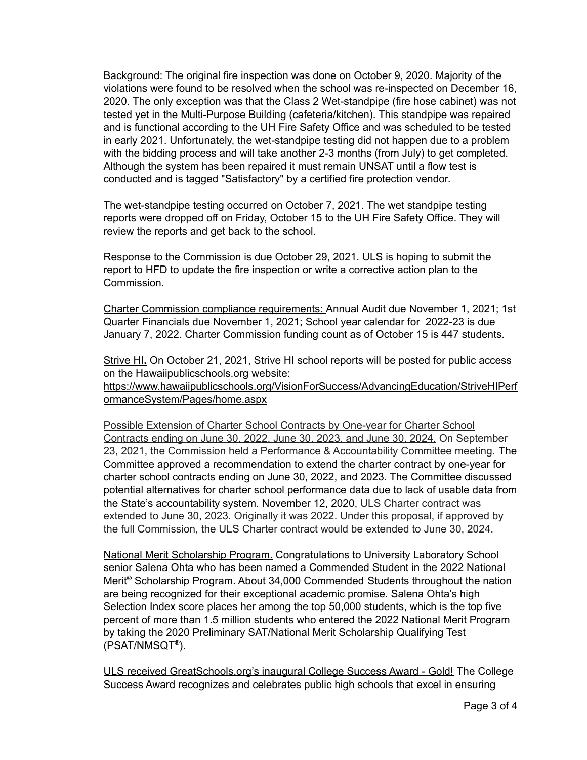Background: The original fire inspection was done on October 9, 2020. Majority of the violations were found to be resolved when the school was re-inspected on December 16, 2020. The only exception was that the Class 2 Wet-standpipe (fire hose cabinet) was not tested yet in the Multi-Purpose Building (cafeteria/kitchen). This standpipe was repaired and is functional according to the UH Fire Safety Office and was scheduled to be tested in early 2021. Unfortunately, the wet-standpipe testing did not happen due to a problem with the bidding process and will take another 2-3 months (from July) to get completed. Although the system has been repaired it must remain UNSAT until a flow test is conducted and is tagged "Satisfactory" by a certified fire protection vendor.

The wet-standpipe testing occurred on October 7, 2021. The wet standpipe testing reports were dropped off on Friday, October 15 to the UH Fire Safety Office. They will review the reports and get back to the school.

Response to the Commission is due October 29, 2021. ULS is hoping to submit the report to HFD to update the fire inspection or write a corrective action plan to the Commission.

Charter Commission compliance requirements: Annual Audit due November 1, 2021; 1st Quarter Financials due November 1, 2021; School year calendar for 2022-23 is due January 7, 2022. Charter Commission funding count as of October 15 is 447 students.

Strive HI**.** On October 21, 2021, Strive HI school reports will be posted for public access on the Hawaiipublicschools.org website:

https://www.hawaiipublicschools.org/VisionForSuccess/AdvancingEducation/StriveHIPerf ormanceSystem/Pages/home.aspx

Possible Extension of Charter School Contracts by One-year for Charter School Contracts ending on June 30, 2022, June 30, 2023, and June 30, 2024. On September 23, 2021, the Commission held a Performance & Accountability Committee meeting. The Committee approved a recommendation to extend the charter contract by one-year for charter school contracts ending on June 30, 2022, and 2023. The Committee discussed potential alternatives for charter school performance data due to lack of usable data from the State's accountability system. November 12, 2020, ULS Charter contract was extended to June 30, 2023. Originally it was 2022. Under this proposal, if approved by the full Commission, the ULS Charter contract would be extended to June 30, 2024.

National Merit Scholarship Program. Congratulations to University Laboratory School senior Salena Ohta who has been named a Commended Student in the 2022 National Merit **®** Scholarship Program. About 34,000 Commended Students throughout the nation are being recognized for their exceptional academic promise. Salena Ohta's high Selection Index score places her among the top 50,000 students, which is the top five percent of more than 1.5 million students who entered the 2022 National Merit Program by taking the 2020 Preliminary SAT/National Merit Scholarship Qualifying Test (PSAT/NMSQT **®** ).

ULS received GreatSchools.org's inaugural College Success Award - Gold! The College Success Award recognizes and celebrates public high schools that excel in ensuring